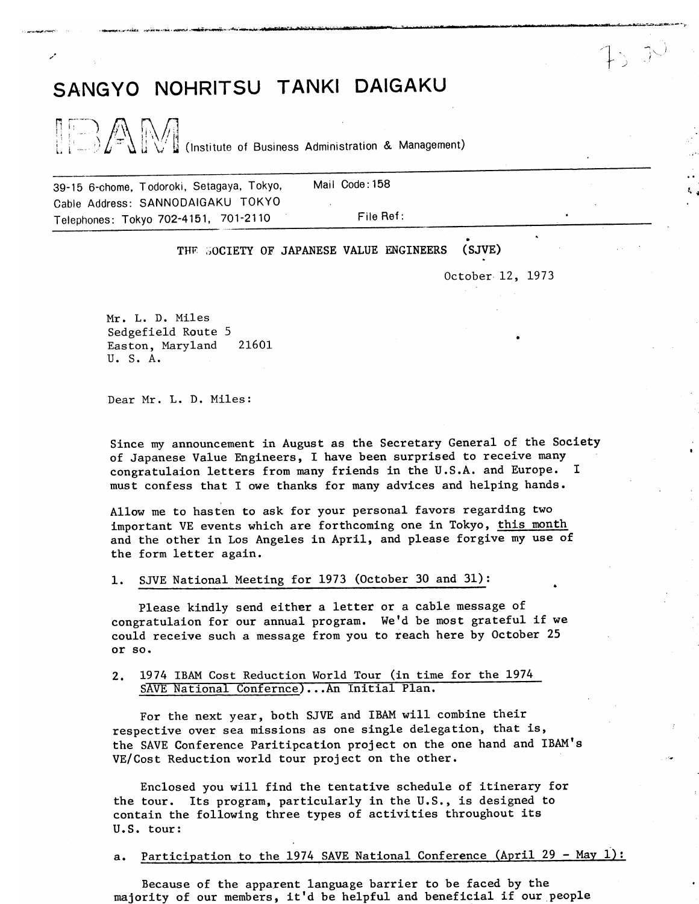## SANGYO NOHRITSU TANKI DAIGAKU

 $\|\rightarrow \text{A}\|$ (Institute of Business Administration & Management)

Mail Code: 158 39-15 6-chome, Todoroki, Setagaya, Tokyo, Cable Address: SANNODAIGAKU TOKYO Telephones: Tokyo 702-4151, 701-2110

File Ref:

THE SOCIETY OF JAPANESE VALUE ENGINEERS (SJVE)

October 12, 1973

书书

Mr. L. D. Miles Sedgefield Route 5 Easton, Maryland 21601 U. S. A.

Dear Mr. L. D. Miles:

Since my announcement in August as the Secretary General of the Society of Japanese Value Engineers, I have been surprised to receive many congratulaion letters from many friends in the U.S.A. and Europe. I must confess that I owe thanks for many advices and helping hands.

Allow me to hasten to ask for your personal favors regarding two important VE events which are forthcoming one in Tokyo, this month and the other in Los Angeles in April, and please forgive my use of the form letter again.

SJVE National Meeting for 1973 (October 30 and 31): 1.

Please kindly send either a letter or a cable message of congratulaion for our annual program. We'd be most grateful if we could receive such a message from you to reach here by October 25 or so.

 $2.$ 1974 IBAM Cost Reduction World Tour (in time for the 1974 SAVE National Confernce)...An Initial Plan.

For the next year, both SJVE and IBAM will combine their respective over sea missions as one single delegation, that is, the SAVE Conference Paritipcation project on the one hand and IBAM's VE/Cost Reduction world tour project on the other.

Enclosed you will find the tentative schedule of itinerary for the tour. Its program, particularly in the U.S., is designed to contain the following three types of activities throughout its U.S. tour:

Participation to the 1974 SAVE National Conference (April 29 - May 1):  $a.$ 

Because of the apparent language barrier to be faced by the majority of our members, it'd be helpful and beneficial if our people